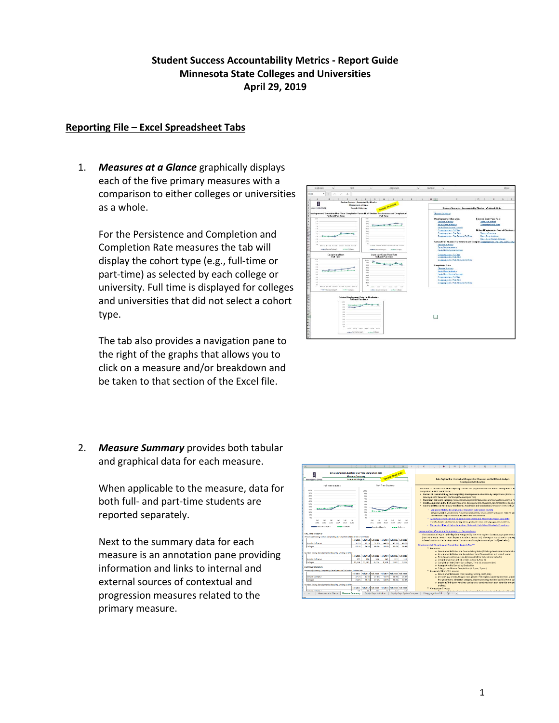## **Student Success Accountability Metrics ‐ Report Guide Minnesota State Colleges and Universities April 29, 2019**

## **Reporting File – Excel Spreadsheet Tabs**

1. *Measures at a Glance* graphically displays each of the five primary measures with a comparison to either colleges or universities as a whole.

For the Persistence and Completion and Completion Rate measures the tab will display the cohort type (e.g., full‐time or part‐time) as selected by each college or university. Full time is displayed for colleges and universities that did not select a cohort type.

The tab also provides a navigation pane to the right of the graphs that allows you to click on a measure and/or breakdown and be taken to that section of the Excel file.

Full and Part To  $\Box$ 

2. *Measure Summary* provides both tabular and graphical data for each measure.

> When applicable to the measure, data for both full‐ and part‐time students are reported separately.

Next to the summary data for each measure is an annotation pane providing information and links to internal and external sources of contextual and progression measures related to the primary measure.

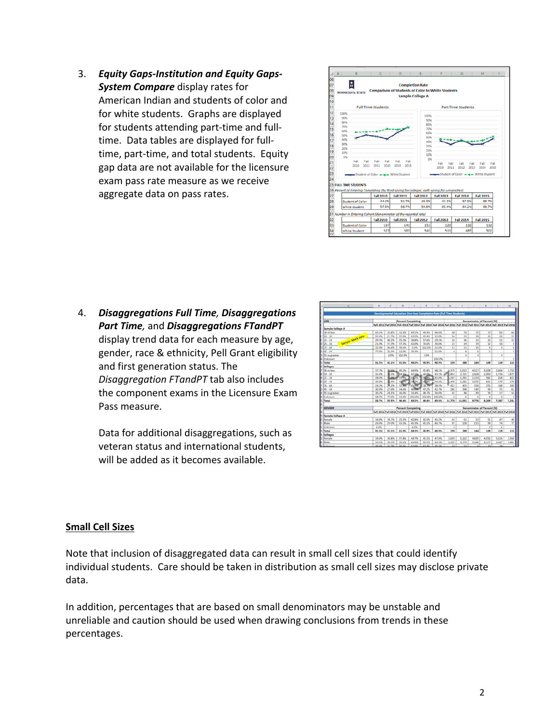3. *Equity Gaps‐Institution and Equity Gaps‐ System Compare* display rates for American Indian and students of color and for white students. Graphs are displayed for students attending part‐time and full‐ time. Data tables are displayed for full‐ time, part‐time, and total students. Equity gap data are not available for the licensure exam pass rate measure as we receive aggregate data on pass rates.



4. *Disaggregations Full Time, Disaggregations Part Time,* and *Disaggregations FTandPT*  display trend data for each measure by age, gender, race & ethnicity, Pell Grant eligibility and first generation status. The *Disaggregation FTandPT* tab also includes the component exams in the Licensure Exam Pass measure.

Data for additional disaggregations, such as veteran status and international students, will be added as it becomes available.

|                                        |                           | c            | D                         | $\cdots$        | $\blacksquare$ | G             | $^{*}$                                                                                                                  |                          |                 |                                   |            | M              |
|----------------------------------------|---------------------------|--------------|---------------------------|-----------------|----------------|---------------|-------------------------------------------------------------------------------------------------------------------------|--------------------------|-----------------|-----------------------------------|------------|----------------|
|                                        |                           |              |                           |                 |                |               | Developmental Education One-Year Completion Rate (Full Time Students)                                                   |                          |                 |                                   |            |                |
| AGE                                    |                           |              | <b>Parcent Completing</b> |                 |                |               |                                                                                                                         |                          |                 | <b>Denominator of Percent (N)</b> |            |                |
|                                        |                           |              |                           |                 |                |               | Fall 2011 Fall 2012 Fall 2013 Fall 2014 Fall 2015 Fall 2016 Fall 2011 Fall 2012 Fall 2013 Fall 2014 Fall 2015 Fall 2014 |                          |                 |                                   |            |                |
| Sample College A                       |                           |              |                           |                 |                |               |                                                                                                                         |                          |                 |                                   |            |                |
| 5.R or less                            | 43.3%                     | <b>SS.8%</b> | 32.9%                     | 49.1%           | 44.9%          | 46.8%         | 48                                                                                                                      | 70                       | $\overline{70}$ | 70                                | 65         | 60             |
| $39 - 20$                              | 22.4%                     | 17.7%        | 22.6%                     | 43.5%           | 43.4%          | 32.0%         | 54                                                                                                                      | 53                       | 34              | $\overline{41}$                   | 31         | 32             |
| $21 - 24$                              | 29.3%                     | 40.2%        | 25.3%                     | 36.8%           | 57.6%          | 29.5%         | 24                                                                                                                      | $\overline{\mathbf{56}}$ | 32              | 25                                | 11         | 13             |
| <b>Lample Mock data</b><br>$0.25 - 34$ | 21.0%                     | 37.3%        | 37.3%                     | 43.0%           | 30.6%          | 30.6%         | 23                                                                                                                      | 19                       | 19              | 12                                | 16         | 9              |
| 35.84                                  | 32.0%                     | 46.4%        | \$9.5%                    | 2.0%            | 102.0%         | 52.0%         | t2                                                                                                                      | 11                       | 10              | $\overline{a}$                    | x          | s.             |
| 45.54                                  | <b>77.0%</b>              | 35.3%        | 52.0%                     | 35.3%           |                | 52.0%         | A                                                                                                                       | $\overline{\mathbf{8}}$  | s               | 5                                 |            | 4              |
| 55 or greater                          |                           | $2.0\%$      | 102.0%                    |                 | $2.0\%$        |               |                                                                                                                         | $\overline{1}$           | 1               |                                   | x          |                |
| Unknown                                |                           |              |                           |                 |                | 102.0%        |                                                                                                                         |                          |                 |                                   |            |                |
| Total                                  | 81.8%                     | 82.1%        | \$1.0%                    | 44.2%           | 41.9%          | 40.9%         | 159                                                                                                                     | 188                      | 164             | 149                               | 119        | 115            |
| Collages                               |                           |              |                           |                 |                |               |                                                                                                                         |                          |                 |                                   |            |                |
| 18 or less                             | 37.7%                     | 39.53        | 40.3%                     | 44.9%           | 45.8%          | 48.1%         | 4.375                                                                                                                   | 5.013                    | 4.527           | 4.058                             | 3,806      | 3,718          |
| $119 - 20$                             | 12.4%                     | 0.25         | 154.6%                    | 42.1%           | 44.05          | 43.1%         | 2,851                                                                                                                   | 2,721                    | 2.428           | 2,000                             | 1.734      | 1.877          |
| $921 - 24$                             | 28.9%                     | <b>Batt</b>  | <b>STON</b>               | 410%            | oddrs.         | 43.0%         | 1.507                                                                                                                   | 1.391                    | 1,234           | 982                               | <b>R18</b> | 822            |
| $0.25 - 34$                            | 29.8%                     | <b>四</b> .4% | 107%                      | 192%            | 42.8%          | 44.6%         | 405                                                                                                                     | 1,285                    | 1,070           | 811                               | 629        | 579            |
| $35 - 44$                              | 24.2%                     | 黄云           | 1799                      | 45.99           | 14.79          | 38.5%         | 421                                                                                                                     | 403                      | 336             | 255                               | 168        | 165            |
| 45.54                                  | 30.9%                     | 27.0%        | 54.6%                     | <b>ALC: YOR</b> | 47.2%          | 42.7%         | 182                                                                                                                     | 198                      | 140             | 94                                | 75         | 65             |
| 55 or greater                          | 30.2%                     | 28.1%        | 16.0%                     | 31.4%           | 48.7%          | 30.6%         | 41                                                                                                                      | 48                       | 49              | 19                                | 17         | 16             |
| Linknown                               | 18.7%                     | 22.0%        | 52.0%                     | 102.0%          | 102.0%         | 102.0%        | $\bf{a}$                                                                                                                | 8                        | ×               | 4                                 | 4          |                |
| Total                                  | 33.7%                     | 35.5%        | 16.4%                     | 43.2%           | 44.4%          | 45.6%         | 11,776                                                                                                                  | 11,051                   | 9.776           | 8,209                             | 7.287      | 7,231          |
|                                        |                           |              |                           |                 |                |               |                                                                                                                         |                          |                 |                                   |            |                |
| GENDER                                 | <b>Percent Completing</b> |              |                           |                 |                |               | Denominator of Percent (N)                                                                                              |                          |                 |                                   |            |                |
|                                        |                           |              |                           |                 |                |               | Fall 2011 Fall 2012 Fall 2013 Fall 2014 Fall 2015 Fall 2016 Fall 2011 Fall 2012 Fall 2018 Fall 2014 Fall 2015 Fall 2016 |                          |                 |                                   |            |                |
| Sample College A                       |                           |              |                           |                 |                |               |                                                                                                                         |                          |                 |                                   |            |                |
|                                        | 34.8%                     | 38.7%        | 25.5%                     | 43.8%           | 42.0%          | 41.5%         | 63                                                                                                                      | 62                       | 53              | 51                                | A7         | 40             |
| 0 Female<br>1 Male                     | 29.4%                     | 29.0%        | 33.5%                     | 45.3%           | 45.1%          | 40.7%         | 97                                                                                                                      | 128                      | 113             | 99                                | 74         | $\overline{1}$ |
| Linknown                               | 2.0%                      |              |                           | 2.0%            |                |               | 3                                                                                                                       |                          |                 | $\overline{\mathbf{x}}$           | ž          |                |
| Total                                  | 31.8%                     | 82.1%        | 31.0%                     | 44.2%           | 43.9%          | 40.9%         | 159                                                                                                                     | 188                      | 164             | 149                               | 119        | 115            |
| Colleges                               |                           |              |                           |                 |                |               |                                                                                                                         |                          |                 |                                   |            |                |
|                                        | 34.0%                     | 36.8%        | 37.8%                     | 44.7%           | 45.2%          | 47.8%         | 5,659                                                                                                                   | 5,262                    | 4,605           | 4,016                             | 3,616      | 3,566          |
| 5 Fenale<br>6 Male<br>7 Linksons       | 33.5%                     | 54.3%        | 35.2%                     | 41.6%           | 43.5%          | 43.5%         | 6,105                                                                                                                   | 5,779                    | 5.166           | 4,177                             | 3,647      | 3.665          |
|                                        | 3/1.6%                    |              | \$0.6%                    | 5.7 6%          | 67.8%          | <b>RS. RN</b> | té.                                                                                                                     | 1.4                      | ٠               | $\overline{1}$                    | 28         |                |

## **Small Cell Sizes**

Note that inclusion of disaggregated data can result in small cell sizes that could identify individual students. Care should be taken in distribution as small cell sizes may disclose private data.

In addition, percentages that are based on small denominators may be unstable and unreliable and caution should be used when drawing conclusions from trends in these percentages.